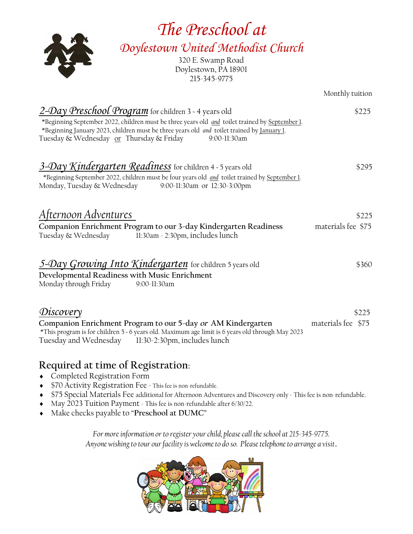| The Preschool at                                                                                                                                                                                                                                                                                                 |                             |
|------------------------------------------------------------------------------------------------------------------------------------------------------------------------------------------------------------------------------------------------------------------------------------------------------------------|-----------------------------|
| Doylestown United Methodist Church<br>320 E. Swamp Road<br>Doylestown, PA 18901<br>215-345-9775                                                                                                                                                                                                                  |                             |
|                                                                                                                                                                                                                                                                                                                  | Monthly tuition             |
| 2-Day Preschool Program for children 3 - 4 years old<br>*Beginning September 2022, children must be three years old and toilet trained by September 1.<br>*Beginning January 2023, children must be three years old and toilet trained by January 1.<br>Tuesday & Wednesday or Thursday & Friday<br>9:00-11:30am | \$225                       |
| 3-Day Kindergarten Readiness for children 4 - 5 years old<br>*Beginning September 2022, children must be four years old and toilet trained by September 1.<br>Monday, Tuesday & Wednesday<br>9:00-11:30am or 12:30-3:00pm                                                                                        | \$295                       |
| Afternoon Adventures<br>Companion Enrichment Program to our 3-day Kindergarten Readiness<br>Tuesday & Wednesday<br>11:30am - 2:30pm, includes lunch                                                                                                                                                              | \$225<br>materials fee \$75 |
| 5-Day Growing Into Kindergarten for children 5 years old<br>Developmental Readiness with Music Enrichment<br>Monday through Friday<br>9:00-11:30am                                                                                                                                                               | \$360                       |
| Discovery<br>Companion Enrichment Program to our 5-day or AM Kindergarten<br>*This program is for children 5 - 6 years old. Maximum age limit is 6 years old through May 2023<br>Tuesday and Wednesday 11:30-2:30pm, includes lunch                                                                              | \$225<br>materials fee \$75 |

## **Required at time of Registration:**

- Completed Registration Form
- ◆ \$70 Activity Registration Fee This fee is non-refundable.
- \$75 Special Materials Fee additional for Afternoon Adventures and Discovery only This fee is non-refundable.
- May 2023 Tuition Payment This fee is non-refundable after 6/30/22.
- Make checks payable to "**Preschool at DUMC**"

*For more information or to register your child, please call the school at 215-345-9775. Anyone wishing to tour our facility is welcome to do so. Please telephone to arrange a visit*.

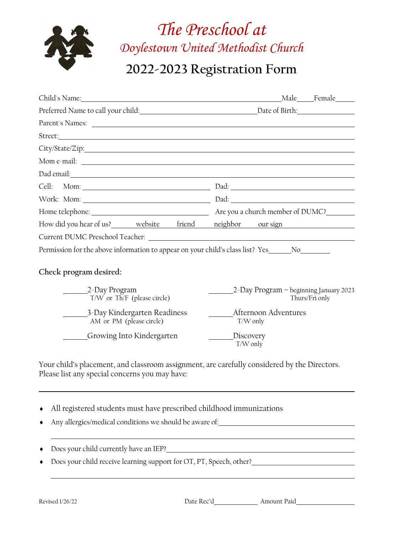

# *The Preschool at Doylestown United Methodist Church*

## **2022-2023 Registration Form**

| Child's Name: Name: Name: Name Annual Child's Name: Name Annual Child's Name: Name Annual Child's Name Annual Child                                                                                                                  |                                                          |
|--------------------------------------------------------------------------------------------------------------------------------------------------------------------------------------------------------------------------------------|----------------------------------------------------------|
|                                                                                                                                                                                                                                      |                                                          |
|                                                                                                                                                                                                                                      |                                                          |
| Street: <u>the contract of the contract of the contract of the contract of the contract of the contract of the contract of the contract of the contract of the contract of the contract of the contract of the contract of the c</u> |                                                          |
|                                                                                                                                                                                                                                      |                                                          |
|                                                                                                                                                                                                                                      |                                                          |
| Dad email: Note that the second contract of the second contract of the second contract of the second contract of the second contract of the second contract of the second contract of the second contract of the second contra       |                                                          |
|                                                                                                                                                                                                                                      |                                                          |
|                                                                                                                                                                                                                                      |                                                          |
|                                                                                                                                                                                                                                      |                                                          |
| How did you hear of us?_______ website friend neighbor our sign                                                                                                                                                                      |                                                          |
|                                                                                                                                                                                                                                      |                                                          |
| Permission for the above information to appear on your child's class list? Yes______No________                                                                                                                                       |                                                          |
| Check program desired:                                                                                                                                                                                                               |                                                          |
| 2-Day Program<br>T/W or Th/F (please circle)                                                                                                                                                                                         | 2-Day Program - beginning January 2023<br>Thurs/Fri only |
| 3-Day Kindergarten Readiness<br>AM or PM (please circle)                                                                                                                                                                             | Afternoon Adventures<br>T/W only                         |
| <b>Example 15 Growing Into Kindergarten</b>                                                                                                                                                                                          | Discovery<br>$T/W$ only                                  |
| Your child's placement, and classroom assignment, are carefully considered by the Directors.<br>Please list any special concerns you may have:                                                                                       |                                                          |
| All registered students must have prescribed childhood immunizations                                                                                                                                                                 |                                                          |
| Any allergies/medical conditions we should be aware of: National Conditional Conditional Conditions are should be aware of: National Conditions and Conditions we should be aware of: National Conditions and Conditions are s       |                                                          |
|                                                                                                                                                                                                                                      |                                                          |
| Does your child receive learning support for OT, PT, Speech, other? ________________________________                                                                                                                                 |                                                          |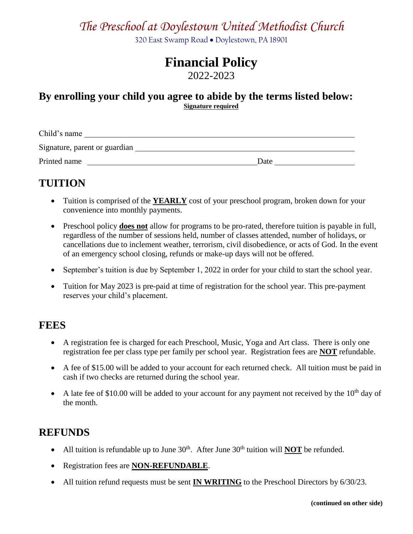## *The Preschool at Doylestown United Methodist Church*

320 East Swamp Road . Doylestown, PA 18901

## **Financial Policy**

2022-2023

#### **By enrolling your child you agree to abide by the terms listed below: Signature required**

Child's name Signature, parent or guardian Printed name Date Date

## **TUITION**

- Tuition is comprised of the **YEARLY** cost of your preschool program, broken down for your convenience into monthly payments.
- Preschool policy **does not** allow for programs to be pro-rated, therefore tuition is payable in full, regardless of the number of sessions held, number of classes attended, number of holidays, or cancellations due to inclement weather, terrorism, civil disobedience, or acts of God. In the event of an emergency school closing, refunds or make-up days will not be offered.
- September's tuition is due by September 1, 2022 in order for your child to start the school year.
- Tuition for May 2023 is pre-paid at time of registration for the school year. This pre-payment reserves your child's placement.

#### **FEES**

- A registration fee is charged for each Preschool, Music, Yoga and Art class. There is only one registration fee per class type per family per school year. Registration fees are **NOT** refundable.
- A fee of \$15.00 will be added to your account for each returned check. All tuition must be paid in cash if two checks are returned during the school year.
- A late fee of \$10.00 will be added to your account for any payment not received by the  $10<sup>th</sup>$  day of the month.

### **REFUNDS**

- All tuition is refundable up to June  $30<sup>th</sup>$ . After June  $30<sup>th</sup>$  tuition will **NOT** be refunded.
- Registration fees are **NON-REFUNDABLE**.
- All tuition refund requests must be sent **IN WRITING** to the Preschool Directors by 6/30/23.